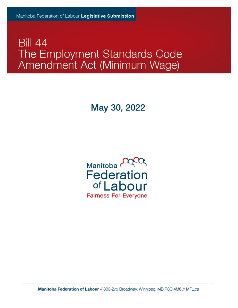## **Bill 44** The Employment Standards Code Amendment Act (Minimum Wage)

## May 30, 2022



Manitoba Federation of Labour // 303-275 Broadway, Winnipeg, MB R3C 4M6 // MFL.ca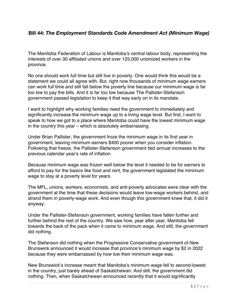## **Bill 44:** *The Employment Standards Code Amendment Act (Minimum Wage)*

The Manitoba Federation of Labour is Manitoba's central labour body, representing the interests of over 30 affiliated unions and over 125,000 unionized workers in the province.

No one should work full time but still live in poverty. One would think this would be a statement we could all agree with. But, right now thousands of minimum wage earners can work full time and still fall below the poverty line because our minimum wage is far too low to pay the bills. And it is far too low because The Pallister-Stefanson government passed legislation to keep it that way early on in its mandate.

I want to highlight why working families need the government to immediately and significantly increase the minimum wage up to a living wage level. But first, I want to speak to how we got to a place where Manitoba could have the lowest minimum wage in the country this year – which is absolutely embarrassing.

Under Brian Pallister, the government froze the minimum wage in its first year in government, leaving minimum earners \$400 poorer when you consider inflation. Following that freeze, the Pallister-Stefanson government tied annual increases to the previous calendar year's rate of inflation.

Because minimum wage was frozen well below the level it needed to be for earners to afford to pay for the basics like food and rent, the government legislated the minimum wage to stay at a poverty level for years.

The MFL, unions, workers, economists, and anti-poverty advocates were clear with the government at the time that these decisions would leave low-wage workers behind, and strand them in poverty-wage work. And even though this government knew that, it did it anyway.

Under the Pallister-Stefanson government, working families have fallen further and further behind the rest of the country. We saw how, year after year, Manitoba fell towards the back of the pack when it came to minimum wage. And still, the government did nothing.

The Stefanson did nothing when the Progressive Conservative government of New Brunswick announced it would increase that province's minimum wage by \$2 in 2022 because they were embarrassed by how low their minimum wage was.

New Brunswick's increase meant that Manitoba's minimum wage fell to second-lowest in the country, just barely ahead of Saskatchewan. And still, the government did nothing. Then, when Saskatchewan announced recently that it would significantly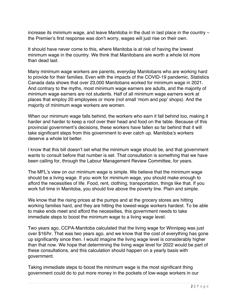increase its minimum wage, and leave Manitoba in the dust in last place in the country – the Premier's first response was don't worry, wages will just rise on their own.

It should have never come to this, where Manitoba is at risk of having the lowest minimum wage in the country. We think that Manitobans are worth a whole lot more than dead last.

Many minimum wage workers are parents, everyday Manitobans who are working hard to provide for their families. Even with the impacts of the COVID-19 pandemic, Statistics Canada data shows that over 23,000 Manitobans worked for minimum wage in 2021. And contrary to the myths, most minimum wage earners are adults, and the majority of minimum wage earners are not students. Half of all minimum wage earners work at places that employ 20 employees or more (not small 'mom and pop' shops). And the majority of minimum wage workers are women.

When our minimum wage falls behind, the workers who earn it fall behind too, making it harder and harder to keep a roof over their head and food on the table. Because of this provincial government's decisions, these workers have fallen so far behind that it will take significant steps from this government to ever catch up. Manitoba's workers deserve a whole lot better.

I know that this bill doesn't set what the minimum wage should be, and that government wants to consult before that number is set. That consultation is something that we have been calling for, through the Labour Management Review Committee, for years.

The MFL's view on our minimum wage is simple. We believe that the minimum wage should be a living wage. If you work for minimum wage, you should make enough to afford the necessities of life. Food, rent, clothing, transportation, things like that. If you work full time in Manitoba, you should live above the poverty line. Plain and simple.

We know that the rising prices at the pumps and at the grocery stores are hitting working families hard, and they are hitting the lowest-wage workers hardest. To be able to make ends meet and afford the necessities, this government needs to take immediate steps to boost the minimum wage to a living wage level.

Two years ago, CCPA-Manitoba calculated that the living wage for Winnipeg was just over \$16/hr. That was two years ago, and we know that the cost of everything has gone up significantly since then. I would imagine the living wage level is considerably higher than that now. We hope that determining the living wage level for 2022 would be part of these consultations, and this calculation should happen on a yearly basis with government.

Taking immediate steps to boost the minimum wage is the most significant thing government could do to put more money in the pockets of low-wage workers in our